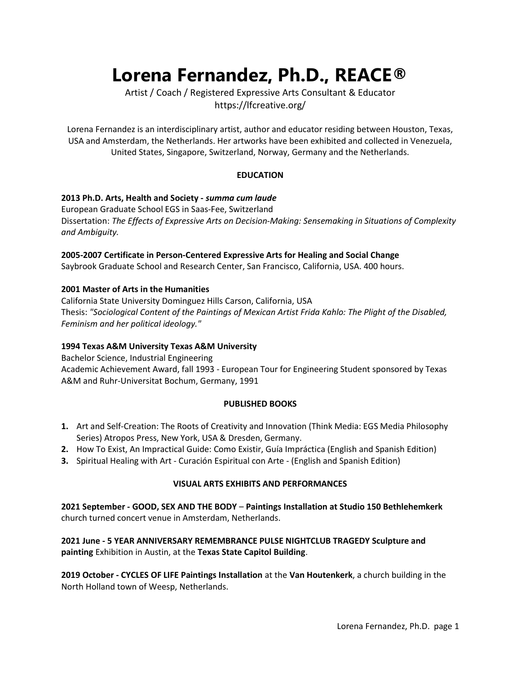# Lorena Fernandez, Ph.D., REACE®

Artist / Coach / Registered Expressive Arts Consultant & Educator https://lfcreative.org/

Lorena Fernandez is an interdisciplinary artist, author and educator residing between Houston, Texas, USA and Amsterdam, the Netherlands. Her artworks have been exhibited and collected in Venezuela, United States, Singapore, Switzerland, Norway, Germany and the Netherlands.

# EDUCATION

#### 2013 Ph.D. Arts, Health and Society - summa cum laude

European Graduate School EGS in Saas-Fee, Switzerland Dissertation: The Effects of Expressive Arts on Decision-Making: Sensemaking in Situations of Complexity and Ambiguity.

#### 2005-2007 Certificate in Person-Centered Expressive Arts for Healing and Social Change

Saybrook Graduate School and Research Center, San Francisco, California, USA. 400 hours.

#### 2001 Master of Arts in the Humanities

California State University Dominguez Hills Carson, California, USA Thesis: "Sociological Content of the Paintings of Mexican Artist Frida Kahlo: The Plight of the Disabled, Feminism and her political ideology."

# 1994 Texas A&M University Texas A&M University

Bachelor Science, Industrial Engineering Academic Achievement Award, fall 1993 - European Tour for Engineering Student sponsored by Texas A&M and Ruhr-Universitat Bochum, Germany, 1991

#### PUBLISHED BOOKS

- 1. Art and Self-Creation: The Roots of Creativity and Innovation (Think Media: EGS Media Philosophy Series) Atropos Press, New York, USA & Dresden, Germany.
- 2. How To Exist, An Impractical Guide: Como Existir, Guía Impráctica (English and Spanish Edition)
- 3. Spiritual Healing with Art Curación Espiritual con Arte (English and Spanish Edition)

# VISUAL ARTS EXHIBITS AND PERFORMANCES

2021 September - GOOD, SEX AND THE BODY – Paintings Installation at Studio 150 Bethlehemkerk church turned concert venue in Amsterdam, Netherlands.

# 2021 June - 5 YEAR ANNIVERSARY REMEMBRANCE PULSE NIGHTCLUB TRAGEDY Sculpture and painting Exhibition in Austin, at the Texas State Capitol Building.

2019 October - CYCLES OF LIFE Paintings Installation at the Van Houtenkerk, a church building in the North Holland town of Weesp, Netherlands.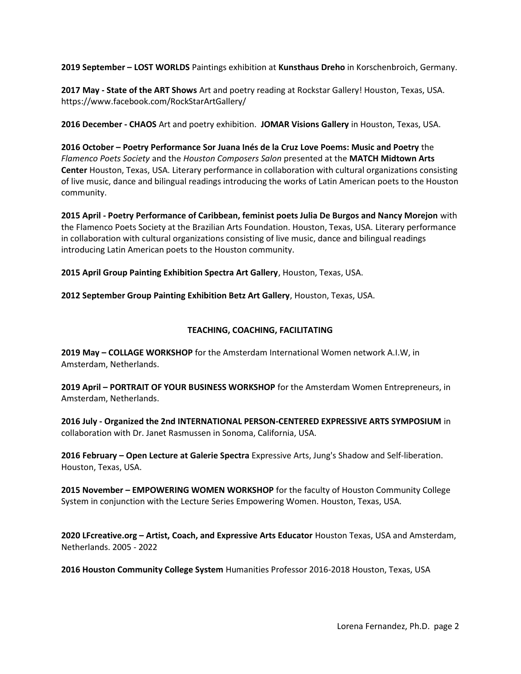2019 September – LOST WORLDS Paintings exhibition at Kunsthaus Dreho in Korschenbroich, Germany.

2017 May - State of the ART Shows Art and poetry reading at Rockstar Gallery! Houston, Texas, USA. https://www.facebook.com/RockStarArtGallery/

2016 December - CHAOS Art and poetry exhibition. JOMAR Visions Gallery in Houston, Texas, USA.

2016 October – Poetry Performance Sor Juana Inés de la Cruz Love Poems: Music and Poetry the Flamenco Poets Society and the Houston Composers Salon presented at the MATCH Midtown Arts Center Houston, Texas, USA. Literary performance in collaboration with cultural organizations consisting of live music, dance and bilingual readings introducing the works of Latin American poets to the Houston community.

2015 April - Poetry Performance of Caribbean, feminist poets Julia De Burgos and Nancy Morejon with the Flamenco Poets Society at the Brazilian Arts Foundation. Houston, Texas, USA. Literary performance in collaboration with cultural organizations consisting of live music, dance and bilingual readings introducing Latin American poets to the Houston community.

2015 April Group Painting Exhibition Spectra Art Gallery, Houston, Texas, USA.

2012 September Group Painting Exhibition Betz Art Gallery, Houston, Texas, USA.

# TEACHING, COACHING, FACILITATING

2019 May – COLLAGE WORKSHOP for the Amsterdam International Women network A.I.W, in Amsterdam, Netherlands.

2019 April – PORTRAIT OF YOUR BUSINESS WORKSHOP for the Amsterdam Women Entrepreneurs, in Amsterdam, Netherlands.

2016 July - Organized the 2nd INTERNATIONAL PERSON-CENTERED EXPRESSIVE ARTS SYMPOSIUM in collaboration with Dr. Janet Rasmussen in Sonoma, California, USA.

2016 February – Open Lecture at Galerie Spectra Expressive Arts, Jung's Shadow and Self-liberation. Houston, Texas, USA.

2015 November – EMPOWERING WOMEN WORKSHOP for the faculty of Houston Community College System in conjunction with the Lecture Series Empowering Women. Houston, Texas, USA.

2020 LFcreative.org – Artist, Coach, and Expressive Arts Educator Houston Texas, USA and Amsterdam, Netherlands. 2005 - 2022

2016 Houston Community College System Humanities Professor 2016-2018 Houston, Texas, USA